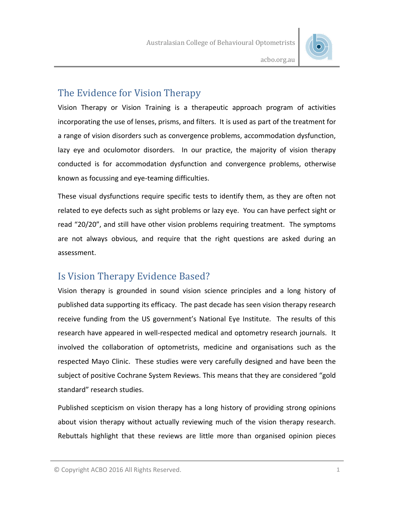

acbo.org.au

### The Evidence for Vision Therapy

Vision Therapy or Vision Training is a therapeutic approach program of activities incorporating the use of lenses, prisms, and filters. It is used as part of the treatment for a range of vision disorders such as convergence problems, accommodation dysfunction, lazy eye and oculomotor disorders. In our practice, the majority of vision therapy conducted is for accommodation dysfunction and convergence problems, otherwise known as focussing and eye-teaming difficulties.

These visual dysfunctions require specific tests to identify them, as they are often not related to eye defects such as sight problems or lazy eye. You can have perfect sight or read "20/20", and still have other vision problems requiring treatment. The symptoms are not always obvious, and require that the right questions are asked during an assessment.

### Is Vision Therapy Evidence Based?

Vision therapy is grounded in sound vision science principles and a long history of published data supporting its efficacy. The past decade has seen vision therapy research receive funding from the US government's National Eye Institute. The results of this research have appeared in well-respected medical and optometry research journals. It involved the collaboration of optometrists, medicine and organisations such as the respected Mayo Clinic. These studies were very carefully designed and have been the subject of positive Cochrane System Reviews. This means that they are considered "gold standard" research studies.

Published scepticism on vision therapy has a long history of providing strong opinions about vision therapy without actually reviewing much of the vision therapy research. Rebuttals highlight that these reviews are little more than organised opinion pieces

<sup>©</sup> Copyright ACBO 2016 All Rights Reserved. 1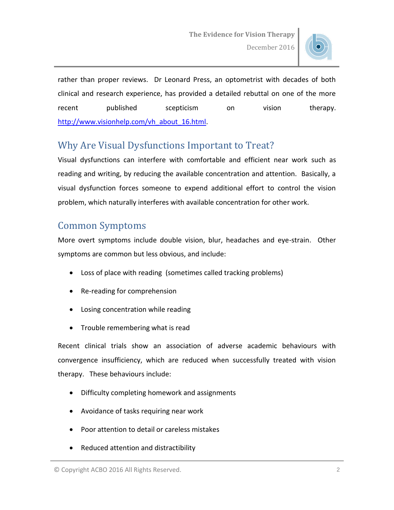

rather than proper reviews. Dr Leonard Press, an optometrist with decades of both clinical and research experience, has provided a detailed rebuttal on one of the more recent published scepticism on vision therapy. [http://www.visionhelp.com/vh\\_about\\_16.html.](http://www.visionhelp.com/vh_about_16.html)

# Why Are Visual Dysfunctions Important to Treat?

Visual dysfunctions can interfere with comfortable and efficient near work such as reading and writing, by reducing the available concentration and attention. Basically, a visual dysfunction forces someone to expend additional effort to control the vision problem, which naturally interferes with available concentration for other work.

## Common Symptoms

More overt symptoms include double vision, blur, headaches and eye-strain. Other symptoms are common but less obvious, and include:

- Loss of place with reading (sometimes called tracking problems)
- Re-reading for comprehension
- Losing concentration while reading
- Trouble remembering what is read

Recent clinical trials show an association of adverse academic behaviours with convergence insufficiency, which are reduced when successfully treated with vision therapy. These behaviours include:

- Difficulty completing homework and assignments
- Avoidance of tasks requiring near work
- Poor attention to detail or careless mistakes
- Reduced attention and distractibility

<sup>©</sup> Copyright ACBO 2016 All Rights Reserved. 2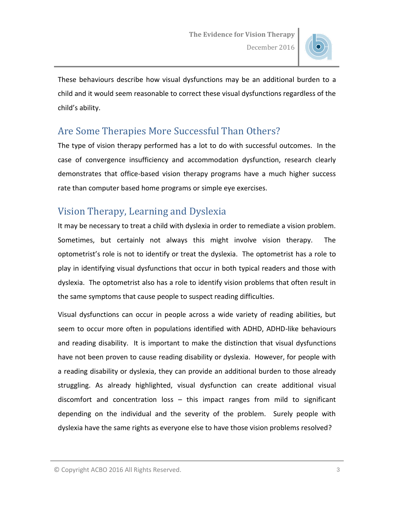

These behaviours describe how visual dysfunctions may be an additional burden to a child and it would seem reasonable to correct these visual dysfunctions regardless of the child's ability.

## Are Some Therapies More Successful Than Others?

The type of vision therapy performed has a lot to do with successful outcomes. In the case of convergence insufficiency and accommodation dysfunction, research clearly demonstrates that office-based vision therapy programs have a much higher success rate than computer based home programs or simple eye exercises.

# Vision Therapy, Learning and Dyslexia

It may be necessary to treat a child with dyslexia in order to remediate a vision problem. Sometimes, but certainly not always this might involve vision therapy. The optometrist's role is not to identify or treat the dyslexia. The optometrist has a role to play in identifying visual dysfunctions that occur in both typical readers and those with dyslexia. The optometrist also has a role to identify vision problems that often result in the same symptoms that cause people to suspect reading difficulties.

Visual dysfunctions can occur in people across a wide variety of reading abilities, but seem to occur more often in populations identified with ADHD, ADHD-like behaviours and reading disability. It is important to make the distinction that visual dysfunctions have not been proven to cause reading disability or dyslexia. However, for people with a reading disability or dyslexia, they can provide an additional burden to those already struggling. As already highlighted, visual dysfunction can create additional visual discomfort and concentration loss – this impact ranges from mild to significant depending on the individual and the severity of the problem. Surely people with dyslexia have the same rights as everyone else to have those vision problems resolved?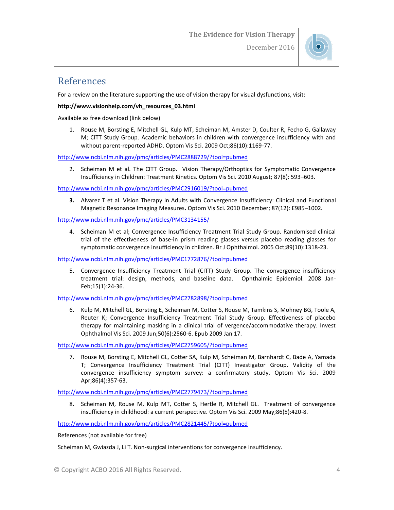

#### References

For a review on the literature supporting the use of vision therapy for visual dysfunctions, visit:

#### **http://www.visionhelp.com/vh\_resources\_03.html**

Available as free download (link below)

1. Rouse M, Borsting E, Mitchell GL, Kulp MT, Scheiman M, Amster D, Coulter R, Fecho G, Gallaway M; CITT Study Group. Academic behaviors in children with convergence insufficiency with and without parent-reported ADHD. Optom Vis Sci. 2009 Oct;86(10):1169-77.

<http://www.ncbi.nlm.nih.gov/pmc/articles/PMC2888729/?tool=pubmed>

2. Scheiman M et al. The CITT Group. Vision Therapy/Orthoptics for Symptomatic Convergence Insufficiency in Children: Treatment Kinetics. Optom Vis Sci. 2010 August; 87(8): 593–603.

<http://www.ncbi.nlm.nih.gov/pmc/articles/PMC2916019/?tool=pubmed>

**3.** Alvarez T et al. Vision Therapy in Adults with Convergence Insufficiency: Clinical and Functional Magnetic Resonance Imaging Measures**.** Optom Vis Sci. 2010 December; 87(12): E985–1002**.** 

<http://www.ncbi.nlm.nih.gov/pmc/articles/PMC3134155/>

4. Scheiman M et al; Convergence Insufficiency Treatment Trial Study Group. Randomised clinical trial of the effectiveness of base-in prism reading glasses versus placebo reading glasses for symptomatic convergence insufficiency in children. Br J Ophthalmol. 2005 Oct;89(10):1318-23.

<http://www.ncbi.nlm.nih.gov/pmc/articles/PMC1772876/?tool=pubmed>

5. Convergence Insufficiency Treatment Trial (CITT) Study Group. The convergence insufficiency treatment trial: design, methods, and baseline data. Ophthalmic Epidemiol. 2008 Jan-Feb;15(1):24-36.

<http://www.ncbi.nlm.nih.gov/pmc/articles/PMC2782898/?tool=pubmed>

6. Kulp M, Mitchell GL, Borsting E, Scheiman M, Cotter S, Rouse M, Tamkins S, Mohney BG, Toole A, Reuter K; Convergence Insufficiency Treatment Trial Study Group. Effectiveness of placebo therapy for maintaining masking in a clinical trial of vergence/accommodative therapy. Invest Ophthalmol Vis Sci. 2009 Jun;50(6):2560-6. Epub 2009 Jan 17.

<http://www.ncbi.nlm.nih.gov/pmc/articles/PMC2759605/?tool=pubmed>

7. Rouse M, Borsting E, Mitchell GL, Cotter SA, Kulp M, Scheiman M, Barnhardt C, Bade A, Yamada T; Convergence Insufficiency Treatment Trial (CITT) Investigator Group. Validity of the convergence insufficiency symptom survey: a confirmatory study. Optom Vis Sci. 2009 Apr;86(4):357-63.

<http://www.ncbi.nlm.nih.gov/pmc/articles/PMC2779473/?tool=pubmed>

8. Scheiman M, Rouse M, Kulp MT, Cotter S, Hertle R, Mitchell GL. Treatment of convergence insufficiency in childhood: a current perspective. Optom Vis Sci. 2009 May;86(5):420-8.

<http://www.ncbi.nlm.nih.gov/pmc/articles/PMC2821445/?tool=pubmed>

References (not available for free)

Scheiman M, Gwiazda J, Li T. Non-surgical interventions for convergence insufficiency.

<sup>©</sup> Copyright ACBO 2016 All Rights Reserved. 4